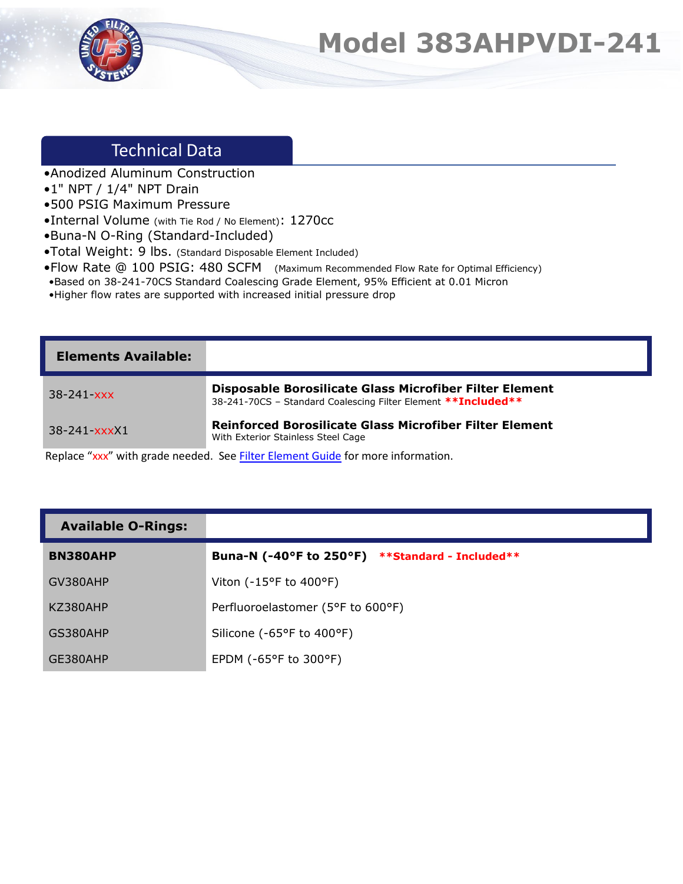

## **Model 383AHPVDI-241**

## Technical Data

- •Anodized Aluminum Construction
- •1" NPT / 1/4" NPT Drain
- •500 PSIG Maximum Pressure
- •Internal Volume (with Tie Rod / No Element): 1270cc
- •Buna-N O-Ring (Standard-Included)
- •Total Weight: 9 lbs. (Standard Disposable Element Included)
- •Flow Rate @ 100 PSIG: 480 SCFM (Maximum Recommended Flow Rate for Optimal Efficiency)
- •Based on 38-241-70CS Standard Coalescing Grade Element, 95% Efficient at 0.01 Micron
- •Higher flow rates are supported with increased initial pressure drop

| <b>Elements Available:</b> |                                                                                                                           |
|----------------------------|---------------------------------------------------------------------------------------------------------------------------|
| $38 - 241 - xxx$           | Disposable Borosilicate Glass Microfiber Filter Element<br>38-241-70CS - Standard Coalescing Filter Element ** Included** |
| $38 - 241 - xxxX1$         | <b>Reinforced Borosilicate Glass Microfiber Filter Element</b><br>With Exterior Stainless Steel Cage                      |

Replace "xxx" with grade needed. See **Filter Element Guide** for more information.

| <b>Available O-Rings:</b> |  |
|---------------------------|--|
|---------------------------|--|

| <b>BN380AHP</b> | Buna-N (-40°F to 250°F)<br><b>**Standard - Included**</b> |
|-----------------|-----------------------------------------------------------|
| GV380AHP        | Viton ( $-15^{\circ}$ F to $400^{\circ}$ F)               |
| KZ380AHP        | Perfluoroelastomer (5°F to 600°F)                         |
| GS380AHP        | Silicone (-65°F to 400°F)                                 |
| GE380AHP        | EPDM ( $-65^{\circ}$ F to 300 $^{\circ}$ F)               |